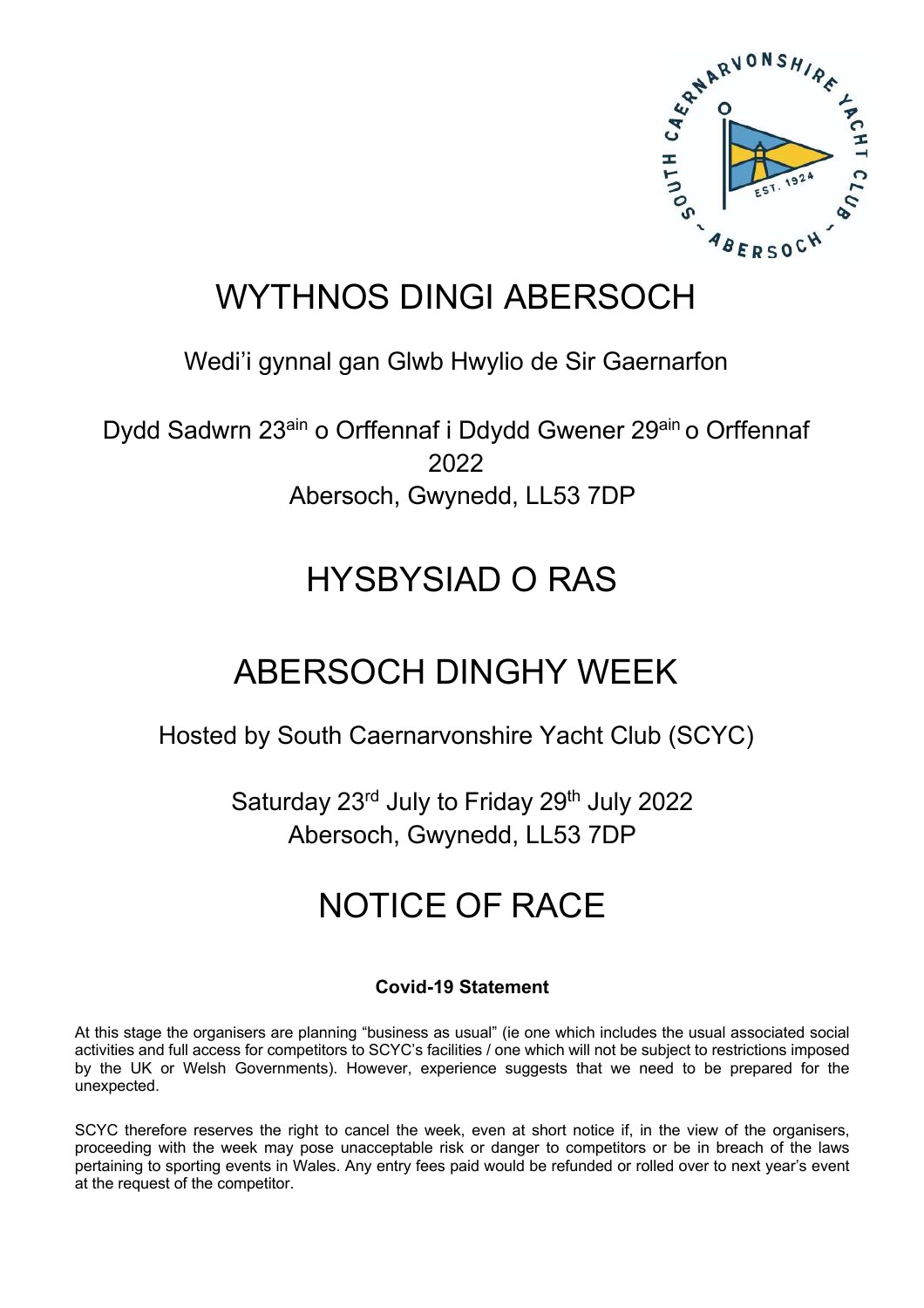

### WYTHNOS DINGI ABERSOCH

### Wedi'i gynnal gan Glwb Hwylio de Sir Gaernarfon

Dydd Sadwrn 23<sup>ain</sup> o Orffennaf i Ddydd Gwener 29<sup>ain</sup> o Orffennaf 2022 Abersoch, Gwynedd, LL53 7DP

## HYSBYSIAD O RAS

## ABERSOCH DINGHY WEEK

Hosted by South Caernarvonshire Yacht Club (SCYC)

Saturday 23<sup>rd</sup> July to Friday 29<sup>th</sup> July 2022 Abersoch, Gwynedd, LL53 7DP

# NOTICE OF RACE

### **Covid-19 Statement**

At this stage the organisers are planning "business as usual" (ie one which includes the usual associated social activities and full access for competitors to SCYC's facilities / one which will not be subject to restrictions imposed by the UK or Welsh Governments). However, experience suggests that we need to be prepared for the unexpected.

SCYC therefore reserves the right to cancel the week, even at short notice if, in the view of the organisers, proceeding with the week may pose unacceptable risk or danger to competitors or be in breach of the laws pertaining to sporting events in Wales. Any entry fees paid would be refunded or rolled over to next year's event at the request of the competitor.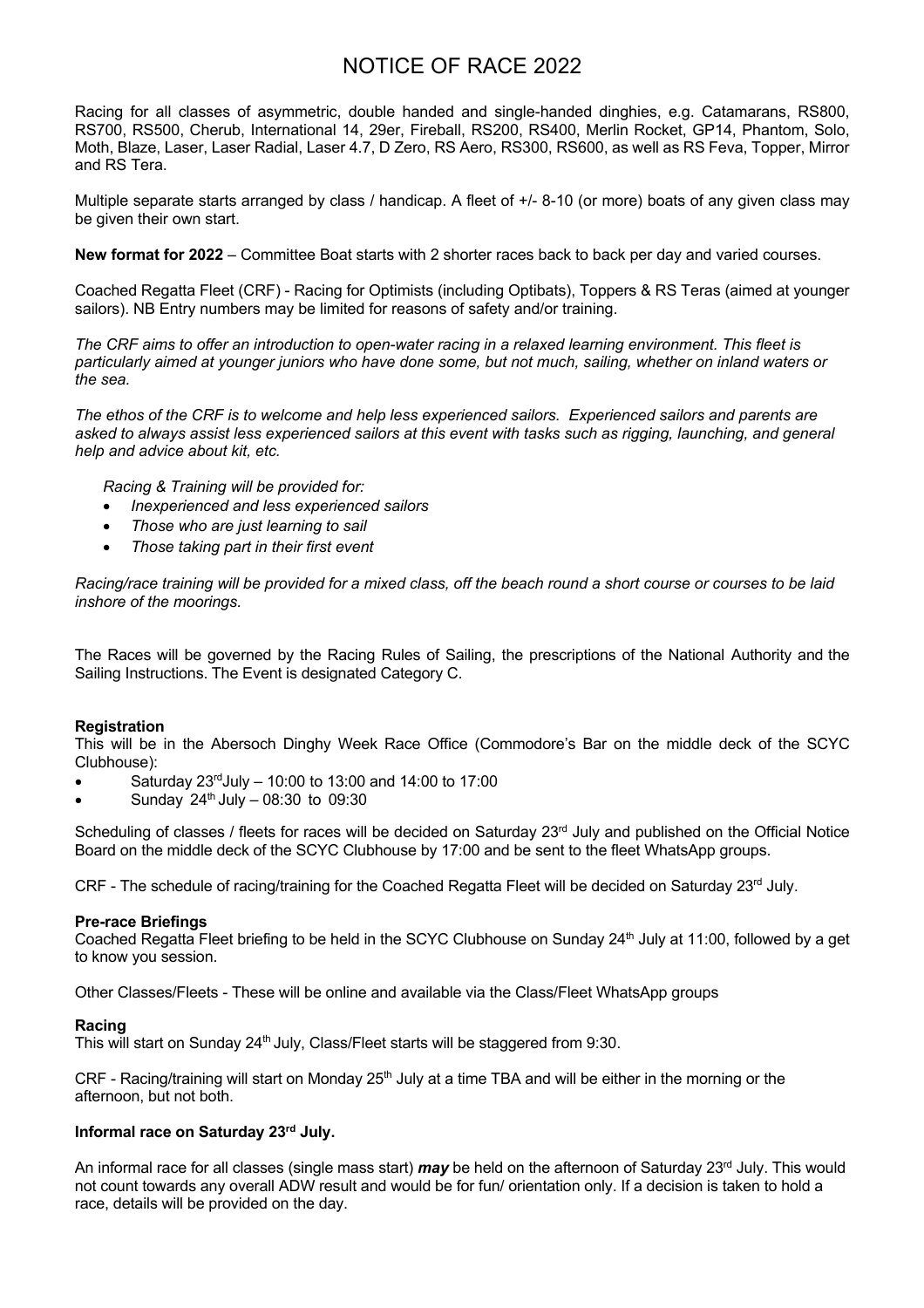### NOTICE OF RACE 2022

Racing for all classes of asymmetric, double handed and single-handed dinghies, e.g. Catamarans, RS800, RS700, RS500, Cherub, International 14, 29er, Fireball, RS200, RS400, Merlin Rocket, GP14, Phantom, Solo, Moth, Blaze, Laser, Laser Radial, Laser 4.7, D Zero, RS Aero, RS300, RS600, as well as RS Feva, Topper, Mirror and RS Tera.

Multiple separate starts arranged by class / handicap. A fleet of  $+/- 8-10$  (or more) boats of any given class may be given their own start.

**New format for 2022** – Committee Boat starts with 2 shorter races back to back per day and varied courses.

Coached Regatta Fleet (CRF) - Racing for Optimists (including Optibats), Toppers & RS Teras (aimed at younger sailors). NB Entry numbers may be limited for reasons of safety and/or training.

*The CRF aims to offer an introduction to open-water racing in a relaxed learning environment. This fleet is particularly aimed at younger juniors who have done some, but not much, sailing, whether on inland waters or the sea.*

*The ethos of the CRF is to welcome and help less experienced sailors. Experienced sailors and parents are asked to always assist less experienced sailors at this event with tasks such as rigging, launching, and general help and advice about kit, etc.*

*Racing & Training will be provided for:* 

- *Inexperienced and less experienced sailors*
- *Those who are just learning to sail*
- *Those taking part in their first event*

*Racing/race training will be provided for a mixed class, off the beach round a short course or courses to be laid inshore of the moorings.* 

The Races will be governed by the Racing Rules of Sailing, the prescriptions of the National Authority and the Sailing Instructions. The Event is designated Category C.

#### **Registration**

This will be in the Abersoch Dinghy Week Race Office (Commodore's Bar on the middle deck of the SCYC Clubhouse):

- Saturday  $23<sup>rd</sup>$ July 10:00 to 13:00 and 14:00 to 17:00
- Sunday  $24^{th}$  July 08:30 to 09:30

Scheduling of classes / fleets for races will be decided on Saturday 23<sup>rd</sup> July and published on the Official Notice Board on the middle deck of the SCYC Clubhouse by 17:00 and be sent to the fleet WhatsApp groups.

CRF - The schedule of racing/training for the Coached Regatta Fleet will be decided on Saturday 23rd July.

#### **Pre-race Briefings**

Coached Regatta Fleet briefing to be held in the SCYC Clubhouse on Sunday 24<sup>th</sup> July at 11:00, followed by a get to know you session.

Other Classes/Fleets - These will be online and available via the Class/Fleet WhatsApp groups

#### **Racing**

This will start on Sunday 24<sup>th</sup> July, Class/Fleet starts will be staggered from 9:30.

CRF - Racing/training will start on Monday 25<sup>th</sup> July at a time TBA and will be either in the morning or the afternoon, but not both.

#### **Informal race on Saturday 23 rd July.**

An informal race for all classes (single mass start) *may* be held on the afternoon of Saturday 23<sup>rd</sup> July. This would not count towards any overall ADW result and would be for fun/ orientation only. If a decision is taken to hold a race, details will be provided on the day.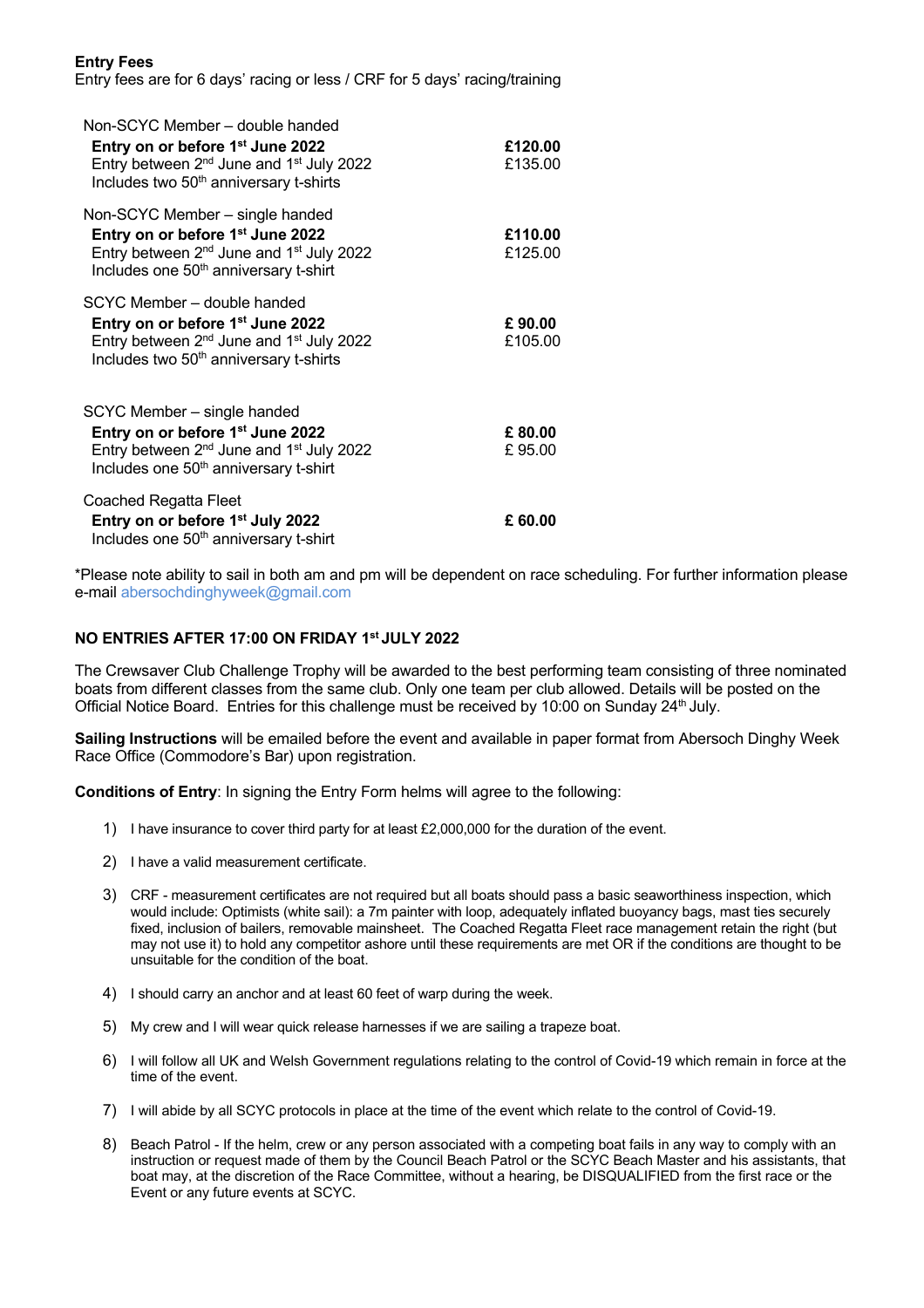#### **Entry Fees**

Entry fees are for 6 days' racing or less / CRF for 5 days' racing/training

| Non-SCYC Member - double handed<br>Entry on or before 1 <sup>st</sup> June 2022<br>Entry between 2 <sup>nd</sup> June and 1 <sup>st</sup> July 2022<br>Includes two 50 <sup>th</sup> anniversary t-shirts | £120.00<br>£135.00 |
|-----------------------------------------------------------------------------------------------------------------------------------------------------------------------------------------------------------|--------------------|
| Non-SCYC Member - single handed<br>Entry on or before 1 <sup>st</sup> June 2022<br>Entry between $2^{nd}$ June and $1^{st}$ July 2022<br>Includes one 50 <sup>th</sup> anniversary t-shirt                | £110.00<br>£125.00 |
| SCYC Member - double handed<br>Entry on or before 1 <sup>st</sup> June 2022<br>Entry between $2^{nd}$ June and $1^{st}$ July 2022<br>Includes two 50 <sup>th</sup> anniversary t-shirts                   | £90.00<br>£105.00  |
| SCYC Member – single handed<br>Entry on or before 1 <sup>st</sup> June 2022<br>Entry between $2^{nd}$ June and $1^{st}$ July 2022<br>Includes one 50 <sup>th</sup> anniversary t-shirt                    | £80.00<br>£95.00   |
| Coached Regatta Fleet<br>Entry on or before 1 <sup>st</sup> July 2022<br>Includes one 50 <sup>th</sup> anniversary t-shirt                                                                                | £60.00             |

\*Please note ability to sail in both am and pm will be dependent on race scheduling. For further information please e-mail abersochdinghyweek@gmail.com

#### **NO ENTRIES AFTER 17:00 ON FRIDAY 1st JULY 2022**

The Crewsaver Club Challenge Trophy will be awarded to the best performing team consisting of three nominated boats from different classes from the same club. Only one team per club allowed. Details will be posted on the Official Notice Board. Entries for this challenge must be received by 10:00 on Sunday 24<sup>th</sup> July.

**Sailing Instructions** will be emailed before the event and available in paper format from Abersoch Dinghy Week Race Office (Commodore's Bar) upon registration.

**Conditions of Entry**: In signing the Entry Form helms will agree to the following:

- 1) I have insurance to cover third party for at least £2,000,000 for the duration of the event.
- 2) I have a valid measurement certificate.
- 3) CRF measurement certificates are not required but all boats should pass a basic seaworthiness inspection, which would include: Optimists (white sail): a 7m painter with loop, adequately inflated buoyancy bags, mast ties securely fixed, inclusion of bailers, removable mainsheet. The Coached Regatta Fleet race management retain the right (but may not use it) to hold any competitor ashore until these requirements are met OR if the conditions are thought to be unsuitable for the condition of the boat.
- 4) I should carry an anchor and at least 60 feet of warp during the week.
- 5) My crew and I will wear quick release harnesses if we are sailing a trapeze boat.
- 6) I will follow all UK and Welsh Government regulations relating to the control of Covid-19 which remain in force at the time of the event.
- 7) I will abide by all SCYC protocols in place at the time of the event which relate to the control of Covid-19.
- 8) Beach Patrol If the helm, crew or any person associated with a competing boat fails in any way to comply with an instruction or request made of them by the Council Beach Patrol or the SCYC Beach Master and his assistants, that boat may, at the discretion of the Race Committee, without a hearing, be DISQUALIFIED from the first race or the Event or any future events at SCYC.